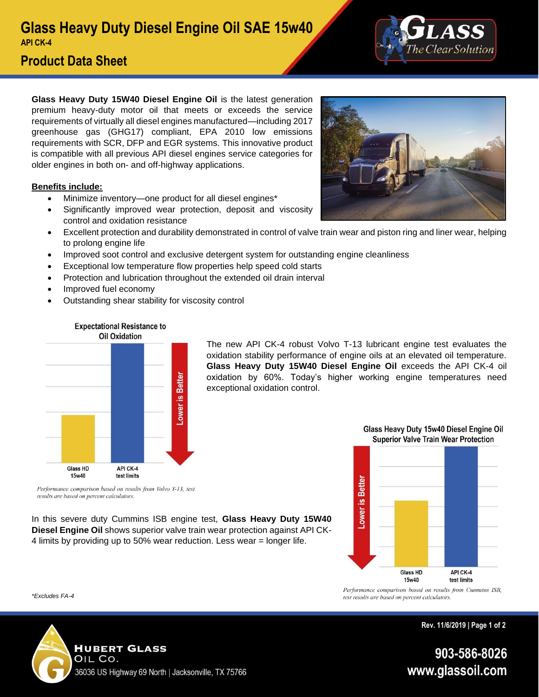

# **Product Data Sheet**

**Glass Heavy Duty 15W40 Diesel Engine Oil** is the latest generation premium heavy-duty motor oil that meets or exceeds the service requirements of virtually all diesel engines manufactured—including 2017 greenhouse gas (GHG17) compliant, EPA 2010 low emissions requirements with SCR, DFP and EGR systems. This innovative product is compatible with all previous API diesel engines service categories for older engines in both on- and off-highway applications.

### **Benefits include:**

- Minimize inventory—one product for all diesel engines\*
- Significantly improved wear protection, deposit and viscosity control and oxidation resistance
- Excellent protection and durability demonstrated in control of valve train wear and piston ring and liner wear, helping to prolong engine life
- Improved soot control and exclusive detergent system for outstanding engine cleanliness
- Exceptional low temperature flow properties help speed cold starts
- Protection and lubrication throughout the extended oil drain interval

In this severe duty Cummins ISB engine test, **Glass Heavy Duty 15W40 Diesel Engine Oil** shows superior valve train wear protection against API CK-4 limits by providing up to 50% wear reduction. Less wear = longer life.

- Improved fuel economy
- Outstanding shear stability for viscosity control



The new API CK-4 robust Volvo T-13 lubricant engine test evaluates the oxidation stability performance of engine oils at an elevated oil temperature. **Glass Heavy Duty 15W40 Diesel Engine Oil** exceeds the API CK-4 oil oxidation by 60%. Today's higher working engine temperatures need exceptional oxidation control.



Glass Heavy Duty 15w40 Diesel Engine Oil **Superior Valve Train Wear Protection** 

Performance comparison based on results from Cummins ISB, test results are based on percent calculators.

**Rev. 11/6/2019 | Page 1 of 2**

903-586-8026 www.glassoil.com

results are based on percent calculators.

*\*Excludes FA-4*